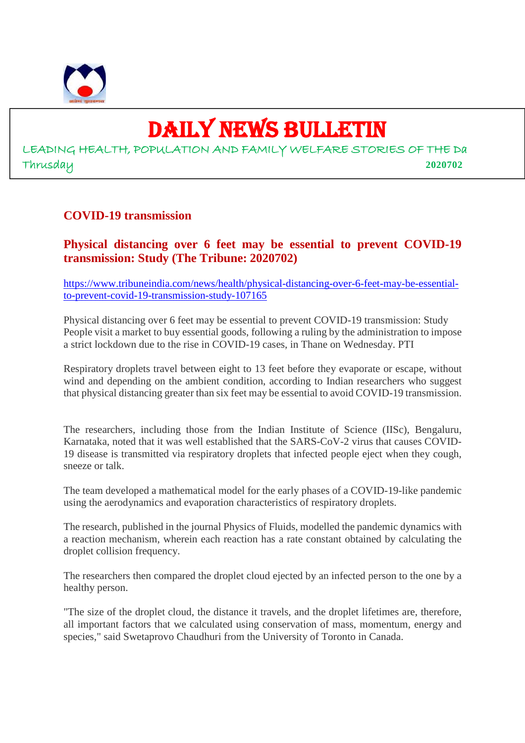

# DAILY NEWS BULLETIN

LEADING HEALTH, POPULATION AND FAMILY WELFARE STORIES OF THE Da Thrusday **2020702**

#### **COVID-19 transmission**

**Physical distancing over 6 feet may be essential to prevent COVID-19 transmission: Study (The Tribune: 2020702)**

https://www.tribuneindia.com/news/health/physical-distancing-over-6-feet-may-be-essentialto-prevent-covid-19-transmission-study-107165

Physical distancing over 6 feet may be essential to prevent COVID-19 transmission: Study People visit a market to buy essential goods, following a ruling by the administration to impose a strict lockdown due to the rise in COVID-19 cases, in Thane on Wednesday. PTI

Respiratory droplets travel between eight to 13 feet before they evaporate or escape, without wind and depending on the ambient condition, according to Indian researchers who suggest that physical distancing greater than six feet may be essential to avoid COVID-19 transmission.

The researchers, including those from the Indian Institute of Science (IISc), Bengaluru, Karnataka, noted that it was well established that the SARS-CoV-2 virus that causes COVID-19 disease is transmitted via respiratory droplets that infected people eject when they cough, sneeze or talk.

The team developed a mathematical model for the early phases of a COVID-19-like pandemic using the aerodynamics and evaporation characteristics of respiratory droplets.

The research, published in the journal Physics of Fluids, modelled the pandemic dynamics with a reaction mechanism, wherein each reaction has a rate constant obtained by calculating the droplet collision frequency.

The researchers then compared the droplet cloud ejected by an infected person to the one by a healthy person.

"The size of the droplet cloud, the distance it travels, and the droplet lifetimes are, therefore, all important factors that we calculated using conservation of mass, momentum, energy and species," said Swetaprovo Chaudhuri from the University of Toronto in Canada.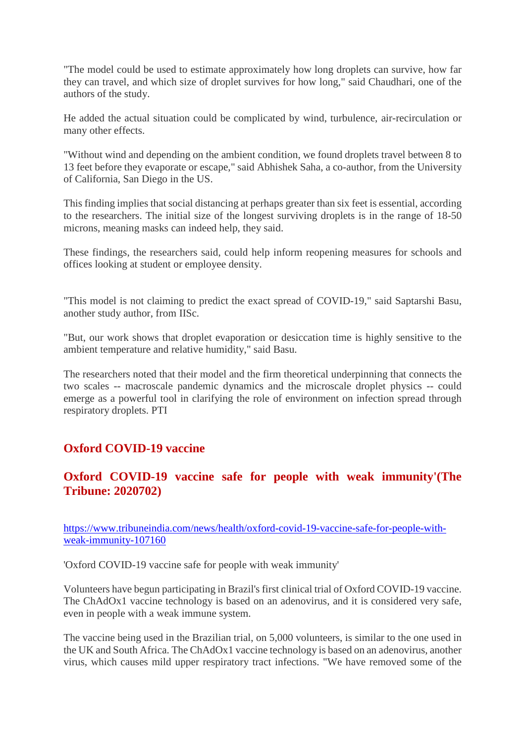"The model could be used to estimate approximately how long droplets can survive, how far they can travel, and which size of droplet survives for how long," said Chaudhari, one of the authors of the study.

He added the actual situation could be complicated by wind, turbulence, air-recirculation or many other effects.

"Without wind and depending on the ambient condition, we found droplets travel between 8 to 13 feet before they evaporate or escape," said Abhishek Saha, a co-author, from the University of California, San Diego in the US.

This finding implies that social distancing at perhaps greater than six feet is essential, according to the researchers. The initial size of the longest surviving droplets is in the range of 18-50 microns, meaning masks can indeed help, they said.

These findings, the researchers said, could help inform reopening measures for schools and offices looking at student or employee density.

"This model is not claiming to predict the exact spread of COVID-19," said Saptarshi Basu, another study author, from IISc.

"But, our work shows that droplet evaporation or desiccation time is highly sensitive to the ambient temperature and relative humidity," said Basu.

The researchers noted that their model and the firm theoretical underpinning that connects the two scales -- macroscale pandemic dynamics and the microscale droplet physics -- could emerge as a powerful tool in clarifying the role of environment on infection spread through respiratory droplets. PTI

#### **Oxford COVID-19 vaccine**

#### **Oxford COVID-19 vaccine safe for people with weak immunity'(The Tribune: 2020702)**

https://www.tribuneindia.com/news/health/oxford-covid-19-vaccine-safe-for-people-withweak-immunity-107160

'Oxford COVID-19 vaccine safe for people with weak immunity'

Volunteers have begun participating in Brazil's first clinical trial of Oxford COVID-19 vaccine. The ChAdOx1 vaccine technology is based on an adenovirus, and it is considered very safe, even in people with a weak immune system.

The vaccine being used in the Brazilian trial, on 5,000 volunteers, is similar to the one used in the UK and South Africa. The ChAdOx1 vaccine technology is based on an adenovirus, another virus, which causes mild upper respiratory tract infections. "We have removed some of the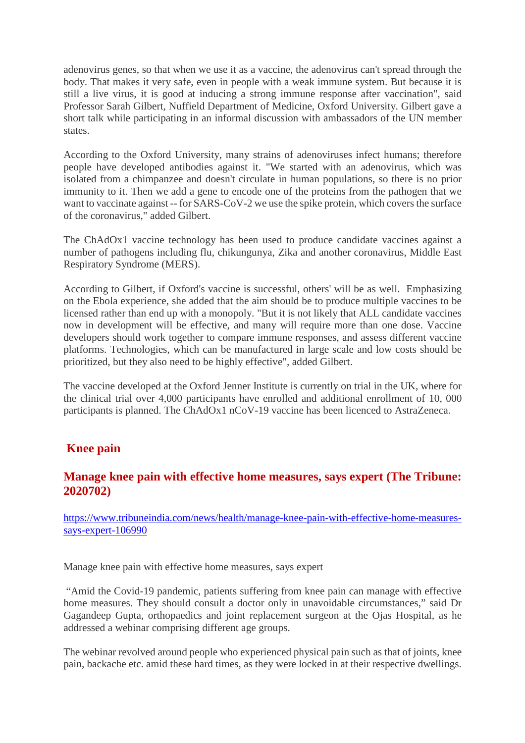adenovirus genes, so that when we use it as a vaccine, the adenovirus can't spread through the body. That makes it very safe, even in people with a weak immune system. But because it is still a live virus, it is good at inducing a strong immune response after vaccination", said Professor Sarah Gilbert, Nuffield Department of Medicine, Oxford University. Gilbert gave a short talk while participating in an informal discussion with ambassadors of the UN member states.

According to the Oxford University, many strains of adenoviruses infect humans; therefore people have developed antibodies against it. "We started with an adenovirus, which was isolated from a chimpanzee and doesn't circulate in human populations, so there is no prior immunity to it. Then we add a gene to encode one of the proteins from the pathogen that we want to vaccinate against -- for SARS-CoV-2 we use the spike protein, which covers the surface of the coronavirus," added Gilbert.

The ChAdOx1 vaccine technology has been used to produce candidate vaccines against a number of pathogens including flu, chikungunya, Zika and another coronavirus, Middle East Respiratory Syndrome (MERS).

According to Gilbert, if Oxford's vaccine is successful, others' will be as well. Emphasizing on the Ebola experience, she added that the aim should be to produce multiple vaccines to be licensed rather than end up with a monopoly. "But it is not likely that ALL candidate vaccines now in development will be effective, and many will require more than one dose. Vaccine developers should work together to compare immune responses, and assess different vaccine platforms. Technologies, which can be manufactured in large scale and low costs should be prioritized, but they also need to be highly effective", added Gilbert.

The vaccine developed at the Oxford Jenner Institute is currently on trial in the UK, where for the clinical trial over 4,000 participants have enrolled and additional enrollment of 10, 000 participants is planned. The ChAdOx1 nCoV-19 vaccine has been licenced to AstraZeneca.

#### **Knee pain**

#### **Manage knee pain with effective home measures, says expert (The Tribune: 2020702)**

https://www.tribuneindia.com/news/health/manage-knee-pain-with-effective-home-measuressays-expert-106990

Manage knee pain with effective home measures, says expert

"Amid the Covid-19 pandemic, patients suffering from knee pain can manage with effective home measures. They should consult a doctor only in unavoidable circumstances," said Dr Gagandeep Gupta, orthopaedics and joint replacement surgeon at the Ojas Hospital, as he addressed a webinar comprising different age groups.

The webinar revolved around people who experienced physical pain such as that of joints, knee pain, backache etc. amid these hard times, as they were locked in at their respective dwellings.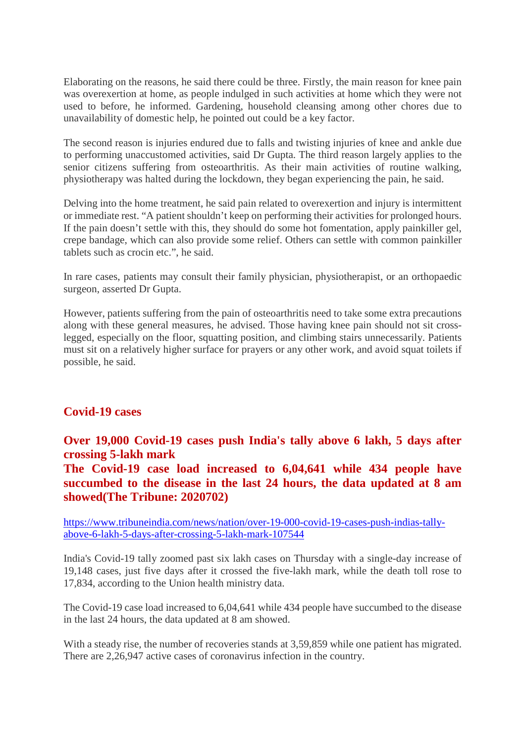Elaborating on the reasons, he said there could be three. Firstly, the main reason for knee pain was overexertion at home, as people indulged in such activities at home which they were not used to before, he informed. Gardening, household cleansing among other chores due to unavailability of domestic help, he pointed out could be a key factor.

The second reason is injuries endured due to falls and twisting injuries of knee and ankle due to performing unaccustomed activities, said Dr Gupta. The third reason largely applies to the senior citizens suffering from osteoarthritis. As their main activities of routine walking, physiotherapy was halted during the lockdown, they began experiencing the pain, he said.

Delving into the home treatment, he said pain related to overexertion and injury is intermittent or immediate rest. "A patient shouldn't keep on performing their activities for prolonged hours. If the pain doesn't settle with this, they should do some hot fomentation, apply painkiller gel, crepe bandage, which can also provide some relief. Others can settle with common painkiller tablets such as crocin etc.", he said.

In rare cases, patients may consult their family physician, physiotherapist, or an orthopaedic surgeon, asserted Dr Gupta.

However, patients suffering from the pain of osteoarthritis need to take some extra precautions along with these general measures, he advised. Those having knee pain should not sit crosslegged, especially on the floor, squatting position, and climbing stairs unnecessarily. Patients must sit on a relatively higher surface for prayers or any other work, and avoid squat toilets if possible, he said.

#### **Covid-19 cases**

#### **Over 19,000 Covid-19 cases push India's tally above 6 lakh, 5 days after crossing 5-lakh mark**

**The Covid-19 case load increased to 6,04,641 while 434 people have succumbed to the disease in the last 24 hours, the data updated at 8 am showed(The Tribune: 2020702)**

https://www.tribuneindia.com/news/nation/over-19-000-covid-19-cases-push-indias-tallyabove-6-lakh-5-days-after-crossing-5-lakh-mark-107544

India's Covid-19 tally zoomed past six lakh cases on Thursday with a single-day increase of 19,148 cases, just five days after it crossed the five-lakh mark, while the death toll rose to 17,834, according to the Union health ministry data.

The Covid-19 case load increased to 6,04,641 while 434 people have succumbed to the disease in the last 24 hours, the data updated at 8 am showed.

With a steady rise, the number of recoveries stands at 3,59,859 while one patient has migrated. There are 2,26,947 active cases of coronavirus infection in the country.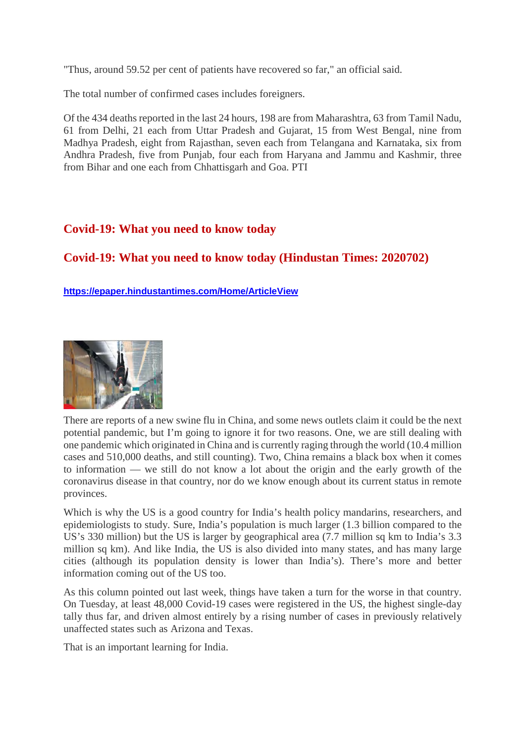"Thus, around 59.52 per cent of patients have recovered so far," an official said.

The total number of confirmed cases includes foreigners.

Of the 434 deaths reported in the last 24 hours, 198 are from Maharashtra, 63 from Tamil Nadu, 61 from Delhi, 21 each from Uttar Pradesh and Gujarat, 15 from West Bengal, nine from Madhya Pradesh, eight from Rajasthan, seven each from Telangana and Karnataka, six from Andhra Pradesh, five from Punjab, four each from Haryana and Jammu and Kashmir, three from Bihar and one each from Chhattisgarh and Goa. PTI

#### **Covid-19: What you need to know today**

#### **Covid-19: What you need to know today (Hindustan Times: 2020702)**

**https://epaper.hindustantimes.com/Home/ArticleView**



There are reports of a new swine flu in China, and some news outlets claim it could be the next potential pandemic, but I'm going to ignore it for two reasons. One, we are still dealing with one pandemic which originated in China and is currently raging through the world (10.4 million cases and 510,000 deaths, and still counting). Two, China remains a black box when it comes to information — we still do not know a lot about the origin and the early growth of the coronavirus disease in that country, nor do we know enough about its current status in remote provinces.

Which is why the US is a good country for India's health policy mandarins, researchers, and epidemiologists to study. Sure, India's population is much larger (1.3 billion compared to the US's 330 million) but the US is larger by geographical area (7.7 million sq km to India's 3.3 million sq km). And like India, the US is also divided into many states, and has many large cities (although its population density is lower than India's). There's more and better information coming out of the US too.

As this column pointed out last week, things have taken a turn for the worse in that country. On Tuesday, at least 48,000 Covid-19 cases were registered in the US, the highest single-day tally thus far, and driven almost entirely by a rising number of cases in previously relatively unaffected states such as Arizona and Texas.

That is an important learning for India.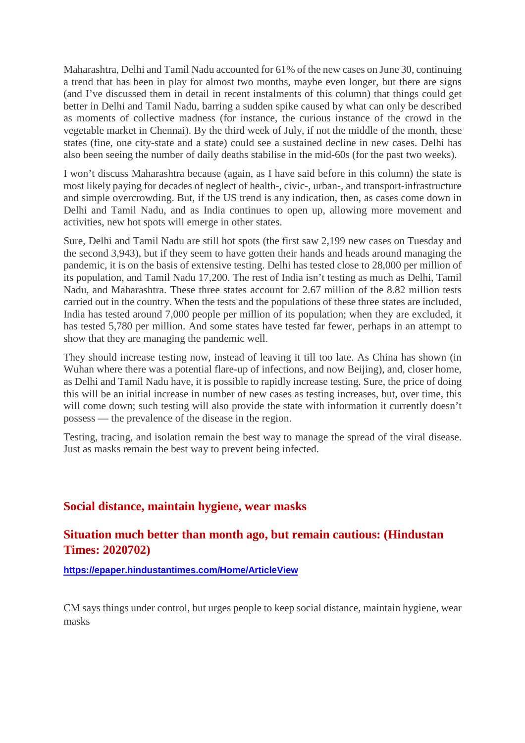Maharashtra, Delhi and Tamil Nadu accounted for 61% of the new cases on June 30, continuing a trend that has been in play for almost two months, maybe even longer, but there are signs (and I've discussed them in detail in recent instalments of this column) that things could get better in Delhi and Tamil Nadu, barring a sudden spike caused by what can only be described as moments of collective madness (for instance, the curious instance of the crowd in the vegetable market in Chennai). By the third week of July, if not the middle of the month, these states (fine, one city-state and a state) could see a sustained decline in new cases. Delhi has also been seeing the number of daily deaths stabilise in the mid-60s (for the past two weeks).

I won't discuss Maharashtra because (again, as I have said before in this column) the state is most likely paying for decades of neglect of health-, civic-, urban-, and transport-infrastructure and simple overcrowding. But, if the US trend is any indication, then, as cases come down in Delhi and Tamil Nadu, and as India continues to open up, allowing more movement and activities, new hot spots will emerge in other states.

Sure, Delhi and Tamil Nadu are still hot spots (the first saw 2,199 new cases on Tuesday and the second 3,943), but if they seem to have gotten their hands and heads around managing the pandemic, it is on the basis of extensive testing. Delhi has tested close to 28,000 per million of its population, and Tamil Nadu 17,200. The rest of India isn't testing as much as Delhi, Tamil Nadu, and Maharashtra. These three states account for 2.67 million of the 8.82 million tests carried out in the country. When the tests and the populations of these three states are included, India has tested around 7,000 people per million of its population; when they are excluded, it has tested 5,780 per million. And some states have tested far fewer, perhaps in an attempt to show that they are managing the pandemic well.

They should increase testing now, instead of leaving it till too late. As China has shown (in Wuhan where there was a potential flare-up of infections, and now Beijing), and, closer home, as Delhi and Tamil Nadu have, it is possible to rapidly increase testing. Sure, the price of doing this will be an initial increase in number of new cases as testing increases, but, over time, this will come down; such testing will also provide the state with information it currently doesn't possess — the prevalence of the disease in the region.

Testing, tracing, and isolation remain the best way to manage the spread of the viral disease. Just as masks remain the best way to prevent being infected.

#### **Social distance, maintain hygiene, wear masks**

#### **Situation much better than month ago, but remain cautious: (Hindustan Times: 2020702)**

**https://epaper.hindustantimes.com/Home/ArticleView**

CM says things under control, but urges people to keep social distance, maintain hygiene, wear masks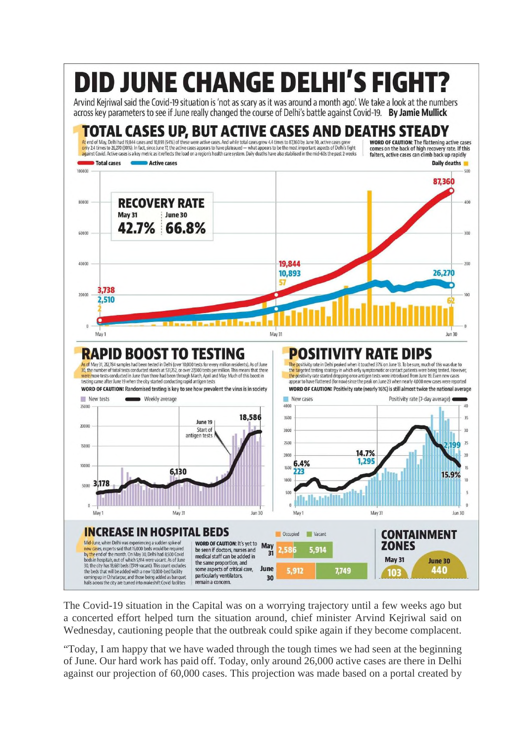

The Covid-19 situation in the Capital was on a worrying trajectory until a few weeks ago but a concerted effort helped turn the situation around, chief minister Arvind Kejriwal said on Wednesday, cautioning people that the outbreak could spike again if they become complacent.

"Today, I am happy that we have waded through the tough times we had seen at the beginning of June. Our hard work has paid off. Today, only around 26,000 active cases are there in Delhi against our projection of 60,000 cases. This projection was made based on a portal created by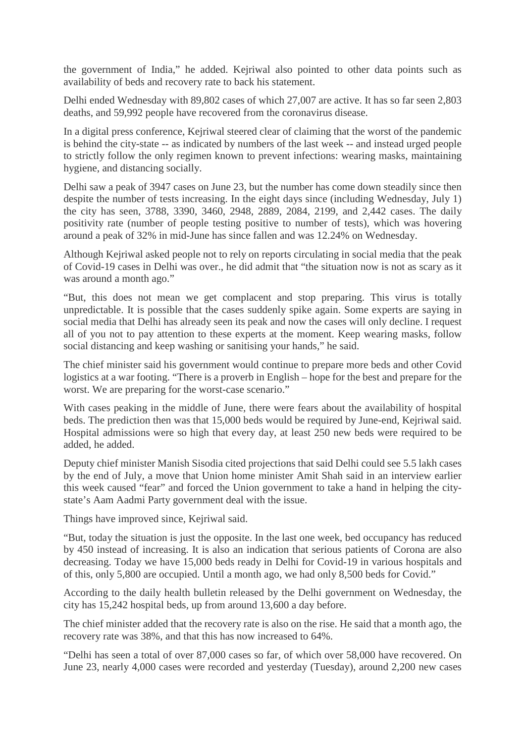the government of India," he added. Kejriwal also pointed to other data points such as availability of beds and recovery rate to back his statement.

Delhi ended Wednesday with 89,802 cases of which 27,007 are active. It has so far seen 2,803 deaths, and 59,992 people have recovered from the coronavirus disease.

In a digital press conference, Kejriwal steered clear of claiming that the worst of the pandemic is behind the city-state -- as indicated by numbers of the last week -- and instead urged people to strictly follow the only regimen known to prevent infections: wearing masks, maintaining hygiene, and distancing socially.

Delhi saw a peak of 3947 cases on June 23, but the number has come down steadily since then despite the number of tests increasing. In the eight days since (including Wednesday, July 1) the city has seen, 3788, 3390, 3460, 2948, 2889, 2084, 2199, and 2,442 cases. The daily positivity rate (number of people testing positive to number of tests), which was hovering around a peak of 32% in mid-June has since fallen and was 12.24% on Wednesday.

Although Kejriwal asked people not to rely on reports circulating in social media that the peak of Covid-19 cases in Delhi was over., he did admit that "the situation now is not as scary as it was around a month ago."

"But, this does not mean we get complacent and stop preparing. This virus is totally unpredictable. It is possible that the cases suddenly spike again. Some experts are saying in social media that Delhi has already seen its peak and now the cases will only decline. I request all of you not to pay attention to these experts at the moment. Keep wearing masks, follow social distancing and keep washing or sanitising your hands," he said.

The chief minister said his government would continue to prepare more beds and other Covid logistics at a war footing. "There is a proverb in English – hope for the best and prepare for the worst. We are preparing for the worst-case scenario."

With cases peaking in the middle of June, there were fears about the availability of hospital beds. The prediction then was that 15,000 beds would be required by June-end, Kejriwal said. Hospital admissions were so high that every day, at least 250 new beds were required to be added, he added.

Deputy chief minister Manish Sisodia cited projections that said Delhi could see 5.5 lakh cases by the end of July, a move that Union home minister Amit Shah said in an interview earlier this week caused "fear" and forced the Union government to take a hand in helping the citystate's Aam Aadmi Party government deal with the issue.

Things have improved since, Kejriwal said.

"But, today the situation is just the opposite. In the last one week, bed occupancy has reduced by 450 instead of increasing. It is also an indication that serious patients of Corona are also decreasing. Today we have 15,000 beds ready in Delhi for Covid-19 in various hospitals and of this, only 5,800 are occupied. Until a month ago, we had only 8,500 beds for Covid."

According to the daily health bulletin released by the Delhi government on Wednesday, the city has 15,242 hospital beds, up from around 13,600 a day before.

The chief minister added that the recovery rate is also on the rise. He said that a month ago, the recovery rate was 38%, and that this has now increased to 64%.

"Delhi has seen a total of over 87,000 cases so far, of which over 58,000 have recovered. On June 23, nearly 4,000 cases were recorded and yesterday (Tuesday), around 2,200 new cases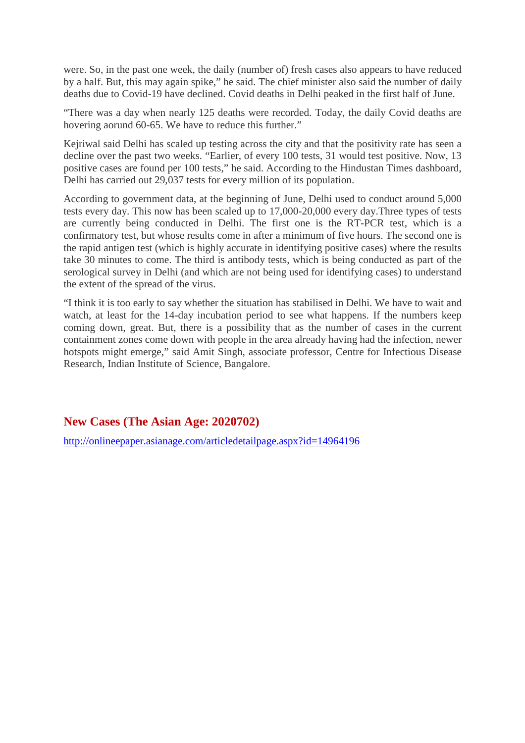were. So, in the past one week, the daily (number of) fresh cases also appears to have reduced by a half. But, this may again spike," he said. The chief minister also said the number of daily deaths due to Covid-19 have declined. Covid deaths in Delhi peaked in the first half of June.

"There was a day when nearly 125 deaths were recorded. Today, the daily Covid deaths are hovering aorund 60-65. We have to reduce this further."

Kejriwal said Delhi has scaled up testing across the city and that the positivity rate has seen a decline over the past two weeks. "Earlier, of every 100 tests, 31 would test positive. Now, 13 positive cases are found per 100 tests," he said. According to the Hindustan Times dashboard, Delhi has carried out 29,037 tests for every million of its population.

According to government data, at the beginning of June, Delhi used to conduct around 5,000 tests every day. This now has been scaled up to 17,000-20,000 every day.Three types of tests are currently being conducted in Delhi. The first one is the RT-PCR test, which is a confirmatory test, but whose results come in after a minimum of five hours. The second one is the rapid antigen test (which is highly accurate in identifying positive cases) where the results take 30 minutes to come. The third is antibody tests, which is being conducted as part of the serological survey in Delhi (and which are not being used for identifying cases) to understand the extent of the spread of the virus.

"I think it is too early to say whether the situation has stabilised in Delhi. We have to wait and watch, at least for the 14-day incubation period to see what happens. If the numbers keep coming down, great. But, there is a possibility that as the number of cases in the current containment zones come down with people in the area already having had the infection, newer hotspots might emerge," said Amit Singh, associate professor, Centre for Infectious Disease Research, Indian Institute of Science, Bangalore.

**New Cases (The Asian Age: 2020702)**

http://onlineepaper.asianage.com/articledetailpage.aspx?id=14964196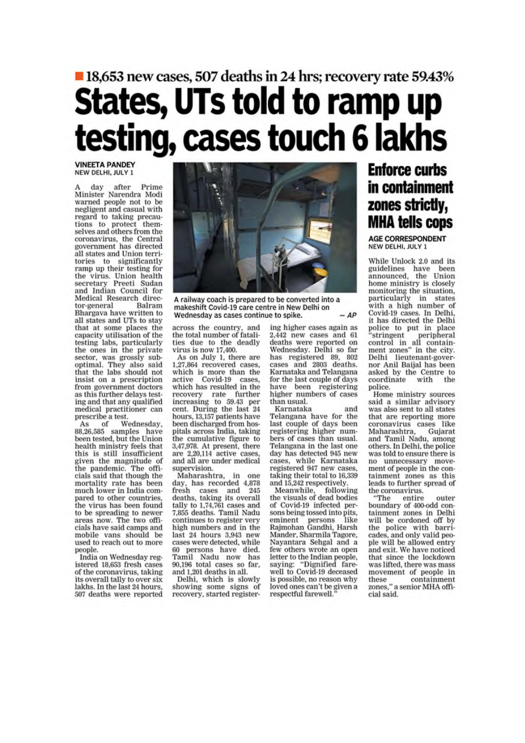# ■ 18,653 new cases, 507 deaths in 24 hrs; recovery rate 59.43% States, UTs told to ramp up<br>testing, cases touch 6 lakhs

#### **VINEETA PANDEY** NEW DELHI, JULY 1

after Prime day A day after Frime<br>Minister Narendra Modi<br>warned people not to be negligent and casual with regard to taking precautions to protect them-<br>selves and others from the coronavirus, the Central<br>government has directed all states and Union territories to significantly<br>ramp up their testing for the virus. Union health<br>secretary Preeti Sudan<br>and Indian Council for Medical Research direc-Balram tor-general Bhargava have written to all states and UTs to stay that at some places the<br>capacity utilisation of the testing labs, particularly<br>the ones in the private sector, was grossly sub-<br>optimal. They also said that the labs should not insist on a prescription from government doctors as this further delays testing and that any qualified medical practitioner can prescribe a test.

of Wednesday.  $As$ 88,26,585 samples have<br>been tested, but the Union health ministry feels that this is still insufficient given the magnitude of the pandemic. The officials said that though the mortality rate has been much lower in India compared to other countries, the virus has been found to be spreading to newer areas now. The two officials have said camps and mobile vans should be used to reach out to more people.

India on Wednesday registered 18,653 fresh cases of the coronavirus, taking its overall tally to over six lakhs. In the last 24 hours, 507 deaths were reported



A railway coach is prepared to be converted into a makeshift Covid-19 care centre in New Delhi on  $-AP$ Wednesday as cases continue to spike.

across the country, and<br>the total number of fatalities due to the deadly virus is now 17,400.

As on July 1, there are 1,27,864 recovered cases. which is more than the active Covid-19 cases, which has resulted in the recovery rate further<br>increasing to 59.43 per<br>cent. During the last 24 hours, 13,157 patients have been discharged from hospitals across India, taking the cumulative figure to 3,47,978. At present, there are 2,20,114 active cases, and all are under medical supervision.

Maharashtra, in one day, has recorded 4,878<br>fresh cases and 245 deaths, taking its overall tally to 1,74,761 cases and 7,855 deaths. Tamil Nadu continues to register very high numbers and in the last 24 hours 3,943 new cases were detected, while 60 persons have died. Tamil Nadu now has 90,196 total cases so far,

and 1,201 deaths in all. Delhi, which is slowly showing some signs of recovery, started registering higher cases again as 2.442 new cases and 61 deaths were reported on<br>Wednesday. Delhi so far has registered 89, 802<br>cases and 2803 deaths. Karnataka and Telangana for the last couple of days have been registering<br>higher numbers of cases than usual.

Karnataka and Telangana have for the last couple of days been registering higher numbers of cases than usual. Telangana in the last one day has detected 945 new cases, while Karnataka<br>registered 947 new cases, taking their total to 16,339 and 15,242 respectively.

Meanwhile, following<br>the visuals of dead bodies of Covid-19 infected persons being tossed into pits, eminent persons like<br>Rajmohan Gandhi, Harsh Mander, Sharmila Tagore, Nayantara Sehgal and a few others wrote an open letter to the Indian people, saying: "Dignified fare-<br>well to Covid-19 deceased is possible, no reason why loved ones can't be given a respectful farewell.

#### **Enforce curbs** in containment zones strictly, **MHA tells cops**

**AGE CORRESPONDENT** NEW DELHI, JULY 1

While Unlock 2.0 and its guidelines have been<br>announced, the Union home ministry is closely<br>monitoring the situation, particularly in states<br>with a high number of Covid-19 cases. In Delhi,<br>it has directed the Delhi police to put in place<br>"stringent peripheral<br>control in all contain-<br>ment zones" in the city. Delhi lieutenant-gover-<br>nor Anil Baijal has been asked by the Centre to coordinate with the police.

Home ministry sources said a similar advisory was also sent to all states that are reporting more coronavirus cases like Maharashtra, Gujarat and Tamil Nadu, among others. In Delhi, the police was told to ensure there is no unnecessary move-<br>ment of people in the containment zones as this leads to further spread of the coronavirus.

"The entire outer boundary of 400-odd containment zones in Delhi will be cordoned off by<br>the police with barricades, and only valid people will be allowed entry and exit. We have noticed that since the lockdown was lifted, there was mass movement of people in these containment<br>zones," a senior MHA officontainment cial said.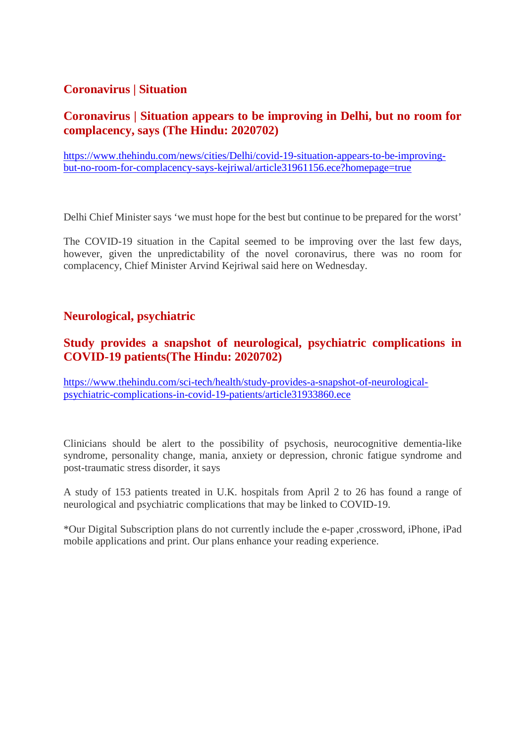#### **Coronavirus | Situation**

#### **Coronavirus | Situation appears to be improving in Delhi, but no room for complacency, says (The Hindu: 2020702)**

https://www.thehindu.com/news/cities/Delhi/covid-19-situation-appears-to-be-improvingbut-no-room-for-complacency-says-kejriwal/article31961156.ece?homepage=true

Delhi Chief Minister says 'we must hope for the best but continue to be prepared for the worst'

The COVID-19 situation in the Capital seemed to be improving over the last few days, however, given the unpredictability of the novel coronavirus, there was no room for complacency, Chief Minister Arvind Kejriwal said here on Wednesday.

#### **Neurological, psychiatric**

#### **Study provides a snapshot of neurological, psychiatric complications in COVID-19 patients(The Hindu: 2020702)**

https://www.thehindu.com/sci-tech/health/study-provides-a-snapshot-of-neurologicalpsychiatric-complications-in-covid-19-patients/article31933860.ece

Clinicians should be alert to the possibility of psychosis, neurocognitive dementia-like syndrome, personality change, mania, anxiety or depression, chronic fatigue syndrome and post-traumatic stress disorder, it says

A study of 153 patients treated in U.K. hospitals from April 2 to 26 has found a range of neurological and psychiatric complications that may be linked to COVID-19.

\*Our Digital Subscription plans do not currently include the e-paper ,crossword, iPhone, iPad mobile applications and print. Our plans enhance your reading experience.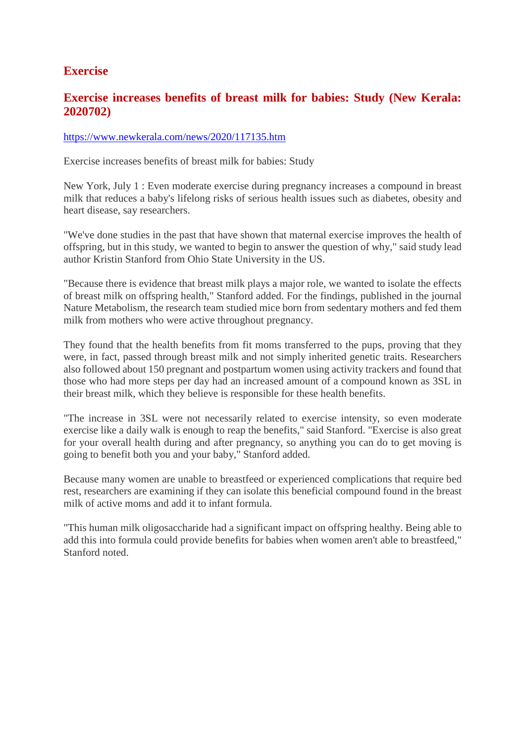#### **Exercise**

#### **Exercise increases benefits of breast milk for babies: Study (New Kerala: 2020702)**

#### https://www.newkerala.com/news/2020/117135.htm

Exercise increases benefits of breast milk for babies: Study

New York, July 1 : Even moderate exercise during pregnancy increases a compound in breast milk that reduces a baby's lifelong risks of serious health issues such as diabetes, obesity and heart disease, say researchers.

"We've done studies in the past that have shown that maternal exercise improves the health of offspring, but in this study, we wanted to begin to answer the question of why," said study lead author Kristin Stanford from Ohio State University in the US.

"Because there is evidence that breast milk plays a major role, we wanted to isolate the effects of breast milk on offspring health," Stanford added. For the findings, published in the journal Nature Metabolism, the research team studied mice born from sedentary mothers and fed them milk from mothers who were active throughout pregnancy.

They found that the health benefits from fit moms transferred to the pups, proving that they were, in fact, passed through breast milk and not simply inherited genetic traits. Researchers also followed about 150 pregnant and postpartum women using activity trackers and found that those who had more steps per day had an increased amount of a compound known as 3SL in their breast milk, which they believe is responsible for these health benefits.

"The increase in 3SL were not necessarily related to exercise intensity, so even moderate exercise like a daily walk is enough to reap the benefits," said Stanford. "Exercise is also great for your overall health during and after pregnancy, so anything you can do to get moving is going to benefit both you and your baby," Stanford added.

Because many women are unable to breastfeed or experienced complications that require bed rest, researchers are examining if they can isolate this beneficial compound found in the breast milk of active moms and add it to infant formula.

"This human milk oligosaccharide had a significant impact on offspring healthy. Being able to add this into formula could provide benefits for babies when women aren't able to breastfeed," Stanford noted.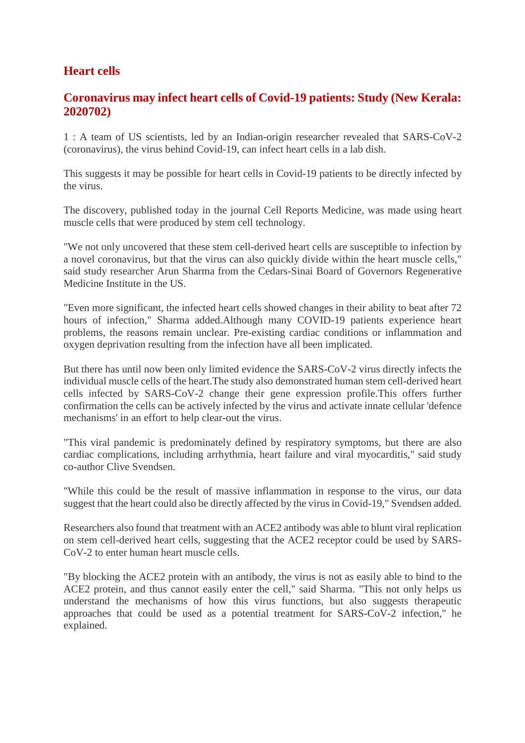#### **Heart cells**

#### **Coronavirus may infect heart cells of Covid-19 patients: Study (New Kerala: 2020702)**

1 : A team of US scientists, led by an Indian-origin researcher revealed that SARS-CoV-2 (coronavirus), the virus behind Covid-19, can infect heart cells in a lab dish.

This suggests it may be possible for heart cells in Covid-19 patients to be directly infected by the virus.

The discovery, published today in the journal Cell Reports Medicine, was made using heart muscle cells that were produced by stem cell technology.

"We not only uncovered that these stem cell-derived heart cells are susceptible to infection by a novel coronavirus, but that the virus can also quickly divide within the heart muscle cells," said study researcher Arun Sharma from the Cedars-Sinai Board of Governors Regenerative Medicine Institute in the US.

"Even more significant, the infected heart cells showed changes in their ability to beat after 72 hours of infection," Sharma added.Although many COVID-19 patients experience heart problems, the reasons remain unclear. Pre-existing cardiac conditions or inflammation and oxygen deprivation resulting from the infection have all been implicated.

But there has until now been only limited evidence the SARS-CoV-2 virus directly infects the individual muscle cells of the heart.The study also demonstrated human stem cell-derived heart cells infected by SARS-CoV-2 change their gene expression profile.This offers further confirmation the cells can be actively infected by the virus and activate innate cellular 'defence mechanisms' in an effort to help clear-out the virus.

"This viral pandemic is predominately defined by respiratory symptoms, but there are also cardiac complications, including arrhythmia, heart failure and viral myocarditis," said study co-author Clive Svendsen.

"While this could be the result of massive inflammation in response to the virus, our data suggest that the heart could also be directly affected by the virus in Covid-19," Svendsen added.

Researchers also found that treatment with an ACE2 antibody was able to blunt viral replication on stem cell-derived heart cells, suggesting that the ACE2 receptor could be used by SARS-CoV-2 to enter human heart muscle cells.

"By blocking the ACE2 protein with an antibody, the virus is not as easily able to bind to the ACE2 protein, and thus cannot easily enter the cell," said Sharma. "This not only helps us understand the mechanisms of how this virus functions, but also suggests therapeutic approaches that could be used as a potential treatment for SARS-CoV-2 infection," he explained.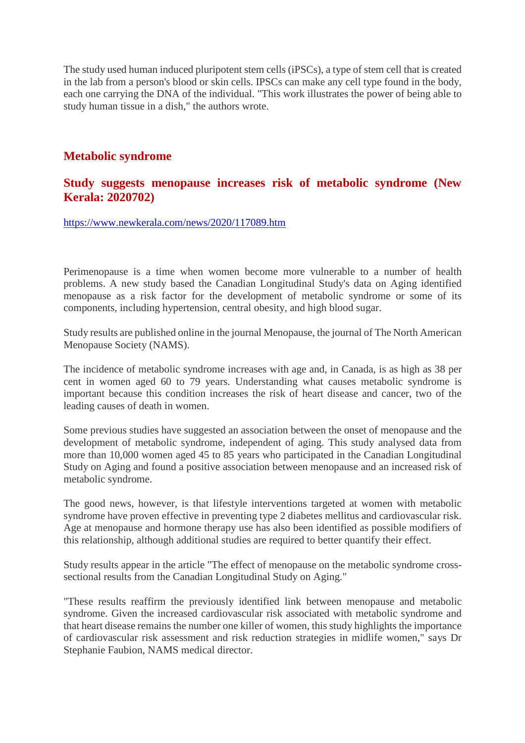The study used human induced pluripotent stem cells (iPSCs), a type of stem cell that is created in the lab from a person's blood or skin cells. IPSCs can make any cell type found in the body, each one carrying the DNA of the individual. "This work illustrates the power of being able to study human tissue in a dish," the authors wrote.

#### **Metabolic syndrome**

#### **Study suggests menopause increases risk of metabolic syndrome (New Kerala: 2020702)**

https://www.newkerala.com/news/2020/117089.htm

Perimenopause is a time when women become more vulnerable to a number of health problems. A new study based the Canadian Longitudinal Study's data on Aging identified menopause as a risk factor for the development of metabolic syndrome or some of its components, including hypertension, central obesity, and high blood sugar.

Study results are published online in the journal Menopause, the journal of The North American Menopause Society (NAMS).

The incidence of metabolic syndrome increases with age and, in Canada, is as high as 38 per cent in women aged 60 to 79 years. Understanding what causes metabolic syndrome is important because this condition increases the risk of heart disease and cancer, two of the leading causes of death in women.

Some previous studies have suggested an association between the onset of menopause and the development of metabolic syndrome, independent of aging. This study analysed data from more than 10,000 women aged 45 to 85 years who participated in the Canadian Longitudinal Study on Aging and found a positive association between menopause and an increased risk of metabolic syndrome.

The good news, however, is that lifestyle interventions targeted at women with metabolic syndrome have proven effective in preventing type 2 diabetes mellitus and cardiovascular risk. Age at menopause and hormone therapy use has also been identified as possible modifiers of this relationship, although additional studies are required to better quantify their effect.

Study results appear in the article "The effect of menopause on the metabolic syndrome crosssectional results from the Canadian Longitudinal Study on Aging."

"These results reaffirm the previously identified link between menopause and metabolic syndrome. Given the increased cardiovascular risk associated with metabolic syndrome and that heart disease remains the number one killer of women, this study highlights the importance of cardiovascular risk assessment and risk reduction strategies in midlife women," says Dr Stephanie Faubion, NAMS medical director.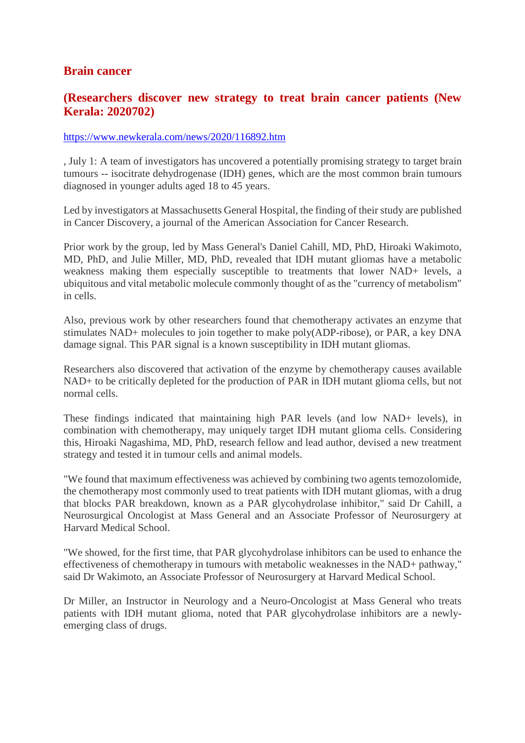#### **Brain cancer**

#### **(Researchers discover new strategy to treat brain cancer patients (New Kerala: 2020702)**

#### https://www.newkerala.com/news/2020/116892.htm

, July 1: A team of investigators has uncovered a potentially promising strategy to target brain tumours -- isocitrate dehydrogenase (IDH) genes, which are the most common brain tumours diagnosed in younger adults aged 18 to 45 years.

Led by investigators at Massachusetts General Hospital, the finding of their study are published in Cancer Discovery, a journal of the American Association for Cancer Research.

Prior work by the group, led by Mass General's Daniel Cahill, MD, PhD, Hiroaki Wakimoto, MD, PhD, and Julie Miller, MD, PhD, revealed that IDH mutant gliomas have a metabolic weakness making them especially susceptible to treatments that lower NAD+ levels, a ubiquitous and vital metabolic molecule commonly thought of as the "currency of metabolism" in cells.

Also, previous work by other researchers found that chemotherapy activates an enzyme that stimulates NAD+ molecules to join together to make poly(ADP-ribose), or PAR, a key DNA damage signal. This PAR signal is a known susceptibility in IDH mutant gliomas.

Researchers also discovered that activation of the enzyme by chemotherapy causes available NAD+ to be critically depleted for the production of PAR in IDH mutant glioma cells, but not normal cells.

These findings indicated that maintaining high PAR levels (and low NAD+ levels), in combination with chemotherapy, may uniquely target IDH mutant glioma cells. Considering this, Hiroaki Nagashima, MD, PhD, research fellow and lead author, devised a new treatment strategy and tested it in tumour cells and animal models.

"We found that maximum effectiveness was achieved by combining two agents temozolomide, the chemotherapy most commonly used to treat patients with IDH mutant gliomas, with a drug that blocks PAR breakdown, known as a PAR glycohydrolase inhibitor," said Dr Cahill, a Neurosurgical Oncologist at Mass General and an Associate Professor of Neurosurgery at Harvard Medical School.

"We showed, for the first time, that PAR glycohydrolase inhibitors can be used to enhance the effectiveness of chemotherapy in tumours with metabolic weaknesses in the NAD+ pathway," said Dr Wakimoto, an Associate Professor of Neurosurgery at Harvard Medical School.

Dr Miller, an Instructor in Neurology and a Neuro-Oncologist at Mass General who treats patients with IDH mutant glioma, noted that PAR glycohydrolase inhibitors are a newlyemerging class of drugs.